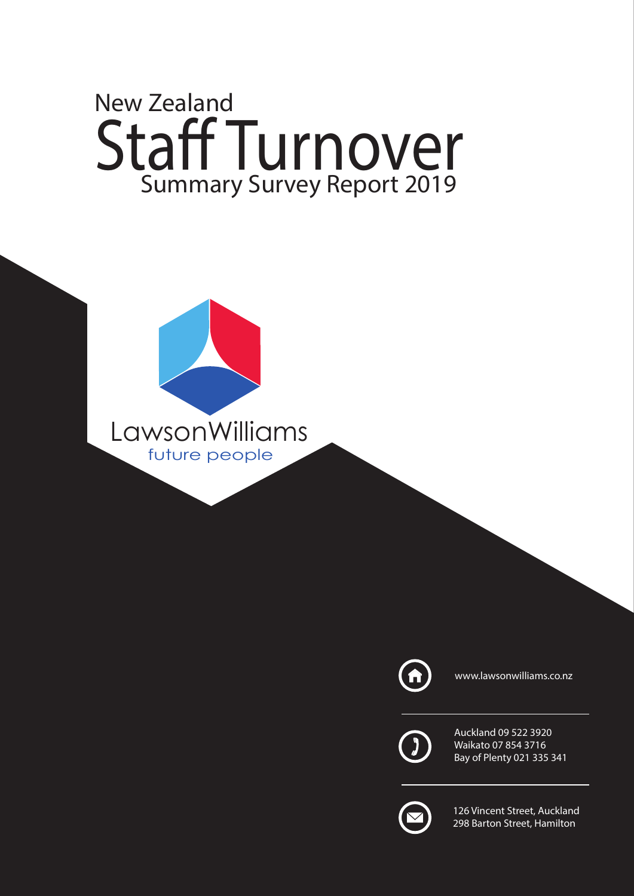

www.lawsonwilliams.co.nz

Auckland 09 522 3920 Waikato 07 854 3716 Bay of Plenty 021 335 341



126 Vincent Street, Auckland 298 Barton Street, Hamilton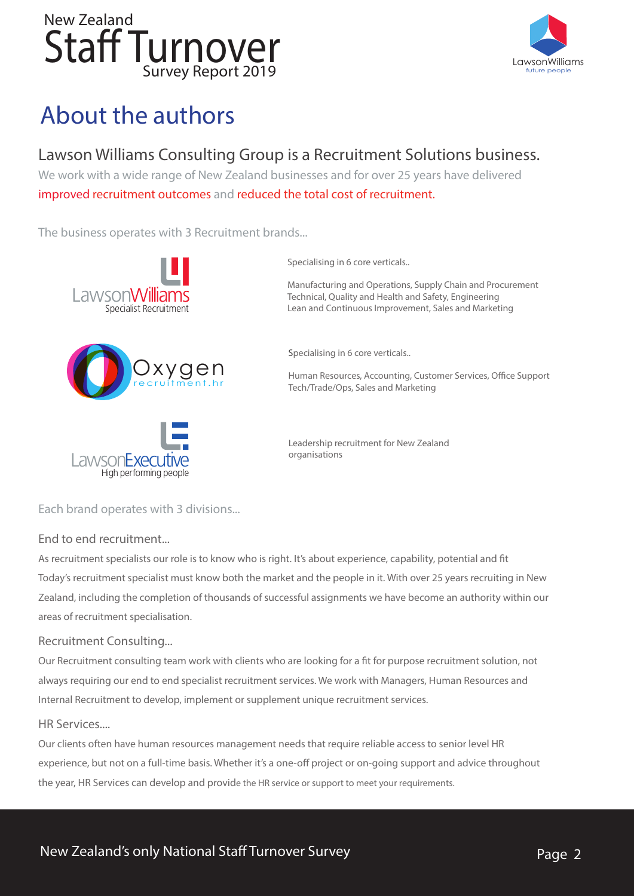



#### Survey Report 2018 About the authors

#### Lawson Williams Consulting Group is a Recruitment Solutions business.

We work with a wide range of New Zealand businesses and for over 25 years have delivered improved recruitment outcomes and reduced the total cost of recruitment.

The business operates with 3 Recruitment brands...



Each brand operates with 3 divisions...

#### End to end recruitment...

As recruitment specialists our role is to know who is right. It's about experience, capability, potential and fit Today's recruitment specialist must know both the market and the people in it. With over 25 years recruiting in New Zealand, including the completion of thousands of successful assignments we have become an authority within our areas of recruitment specialisation.

#### Recruitment Consulting...

Our Recruitment consulting team work with clients who are looking for a fit for purpose recruitment solution, not always requiring our end to end specialist recruitment services. We work with Managers, Human Resources and Internal Recruitment to develop, implement or supplement unique recruitment services.

#### HR Services....

Our clients often have human resources management needs that require reliable access to senior level HR experience, but not on a full-time basis. Whether it's a one-off project or on-going support and advice throughout the year, HR Services can develop and provide the HR service or support to meet your requirements.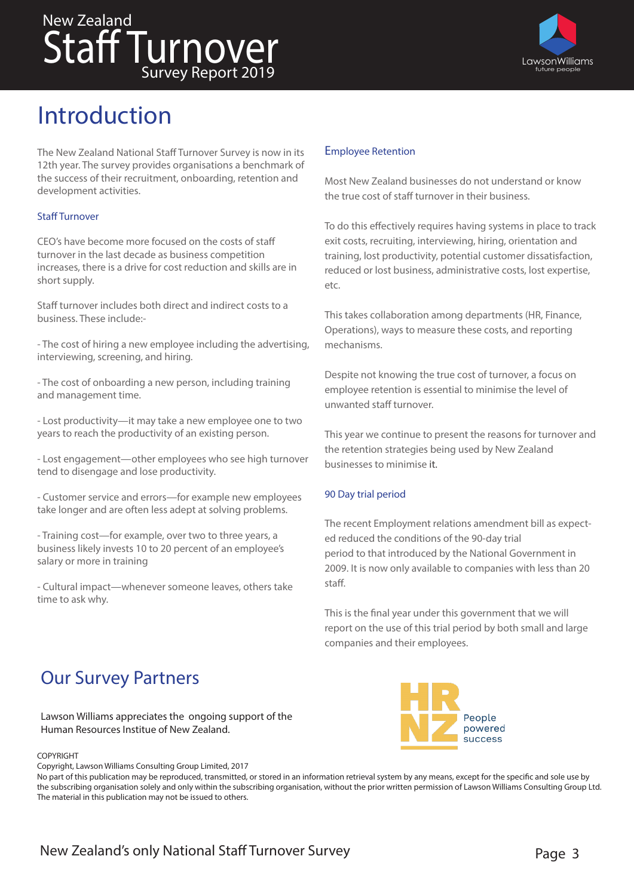### Survey Report 2019 New Zealand Iurnover



## Introduction

The New Zealand National Staff Turnover Survey is now in its 12th year. The survey provides organisations a benchmark of the success of their recruitment, onboarding, retention and development activities.

#### Staff Turnover

CEO's have become more focused on the costs of staff turnover in the last decade as business competition increases, there is a drive for cost reduction and skills are in short supply.

Staff turnover includes both direct and indirect costs to a business. These include:-

- The cost of hiring a new employee including the advertising, interviewing, screening, and hiring.

- The cost of onboarding a new person, including training and management time.

- Lost productivity—it may take a new employee one to two years to reach the productivity of an existing person.

- Lost engagement—other employees who see high turnover tend to disengage and lose productivity.

- Customer service and errors—for example new employees take longer and are often less adept at solving problems.

- Training cost—for example, over two to three years, a business likely invests 10 to 20 percent of an employee's salary or more in training

- Cultural impact—whenever someone leaves, others take time to ask why.

#### Employee Retention

Most New Zealand businesses do not understand or know the true cost of staff turnover in their business.

To do this effectively requires having systems in place to track exit costs, recruiting, interviewing, hiring, orientation and training, lost productivity, potential customer dissatisfaction, reduced or lost business, administrative costs, lost expertise,  $_{\Delta}$ tr

This takes collaboration among departments (HR, Finance, Operations), ways to measure these costs, and reporting mechanisms.

Despite not knowing the true cost of turnover, a focus on employee retention is essential to minimise the level of unwanted staff turnover.

This year we continue to present the reasons for turnover and the retention strategies being used by New Zealand businesses to minimise it.

#### 90 Day trial period

The recent Employment relations amendment bill as expected reduced the conditions of the 90-day trial period to that introduced by the National Government in 2009. It is now only available to companies with less than 20 staff.

This is the final year under this government that we will report on the use of this trial period by both small and large companies and their employees.

> People powered .<br>success

### Our Survey Partners

Lawson Williams appreciates the ongoing support of the Human Resources Institue of New Zealand.

#### **COPYRIGHT**

Copyright, Lawson Williams Consulting Group Limited, 2017

No part of this publication may be reproduced, transmitted, or stored in an information retrieval system by any means, except for the specific and sole use by the subscribing organisation solely and only within the subscribing organisation, without the prior written permission of Lawson Williams Consulting Group Ltd. The material in this publication may not be issued to others.

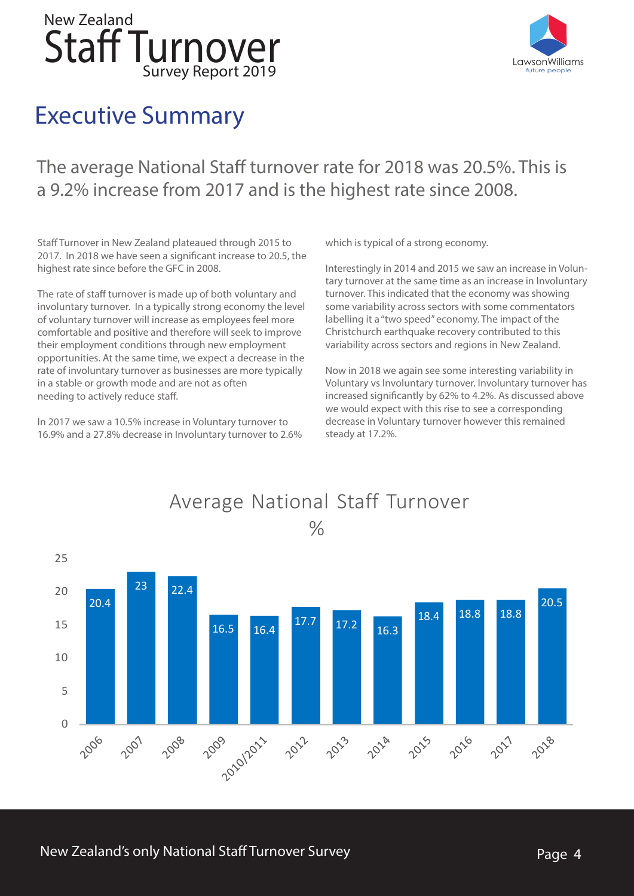



## Executive Summary

#### The average National Staff turnover rate for 2018 was 20.5%. This is a 9.2% increase from 2017 and is the highest rate since 2008.

Staff Turnover in New Zealand plateaued through 2015 to 2017. In 2018 we have seen a significant increase to 20.5, the highest rate since before the GFC in 2008.

The rate of staff turnover is made up of both voluntary and involuntary turnover. In a typically strong economy the level of voluntary turnover will increase as employees feel more comfortable and positive and therefore will seek to improve their employment conditions through new employment opportunities. At the same time, we expect a decrease in the rate of involuntary turnover as businesses are more typically in a stable or growth mode and are not as often needing to actively reduce staff.

In 2017 we saw a 10.5% increase in Voluntary turnover to 16.9% and a 27.8% decrease in Involuntary turnover to 2.6% which is typical of a strong economy.

Interestingly in 2014 and 2015 we saw an increase in Voluntary turnover at the same time as an increase in Involuntary turnover. This indicated that the economy was showing some variability across sectors with some commentators labelling it a "two speed" economy. The impact of the Christchurch earthquake recovery contributed to this variability across sectors and regions in New Zealand.

Now in 2018 we again see some interesting variability in Voluntary vs Involuntary turnover. Involuntary turnover has increased significantly by 62% to 4.2%. As discussed above we would expect with this rise to see a corresponding decrease in Voluntary turnover however this remained steady at 17.2%.

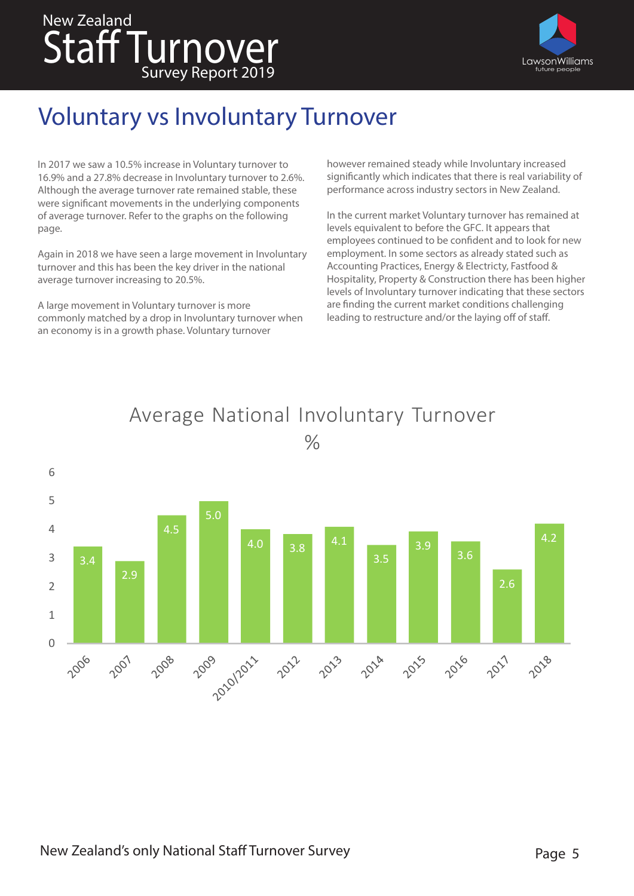

# Voluntary vs Involuntary Turnover

In 2017 we saw a 10.5% increase in Voluntary turnover to 16.9% and a 27.8% decrease in Involuntary turnover to 2.6%. Although the average turnover rate remained stable, these were significant movements in the underlying components of average turnover. Refer to the graphs on the following page.

Again in 2018 we have seen a large movement in Involuntary turnover and this has been the key driver in the national average turnover increasing to 20.5%.

A large movement in Voluntary turnover is more commonly matched by a drop in Involuntary turnover when an economy is in a growth phase. Voluntary turnover

however remained steady while Involuntary increased significantly which indicates that there is real variability of performance across industry sectors in New Zealand.

In the current market Voluntary turnover has remained at levels equivalent to before the GFC. It appears that employees continued to be confident and to look for new employment. In some sectors as already stated such as Accounting Practices, Energy & Electricty, Fastfood & Hospitality, Property & Construction there has been higher levels of Involuntary turnover indicating that these sectors are finding the current market conditions challenging leading to restructure and/or the laying off of staff.



#### Average National Involuntary Turnover  $\frac{0}{0}$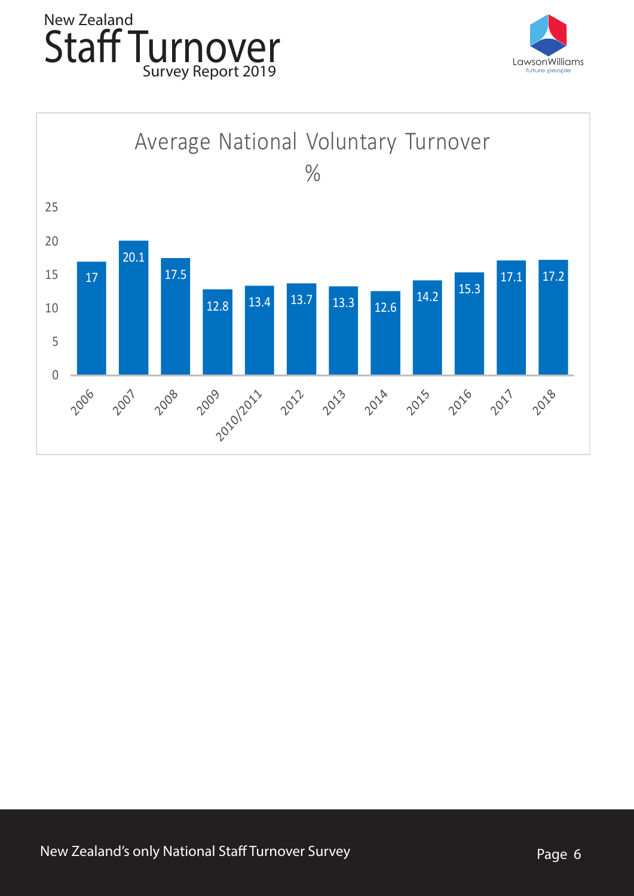

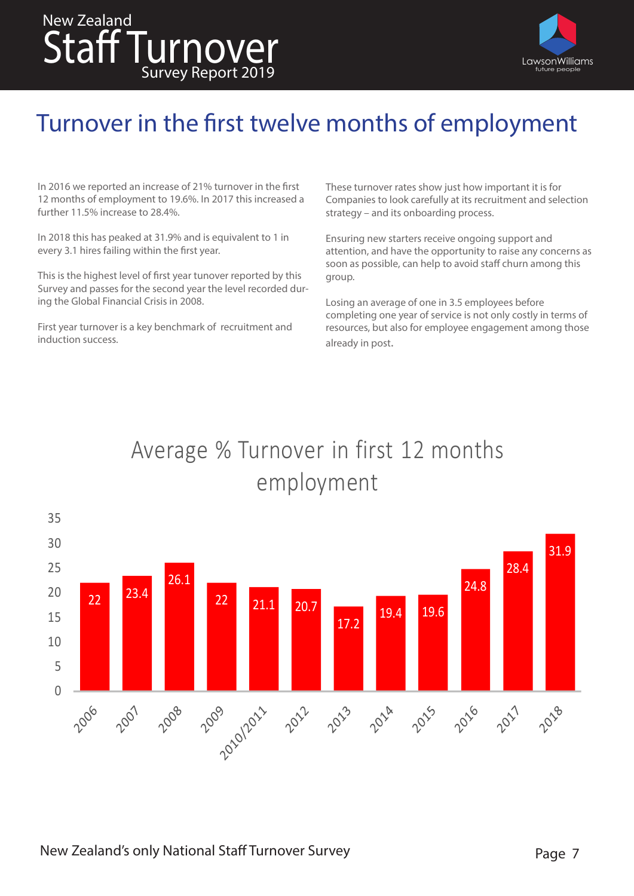## Survey Report 2019 New Zealand **Urnover**



# Turnover in the first twelve months of employment

In 2016 we reported an increase of 21% turnover in the first 12 months of employment to 19.6%. In 2017 this increased a further 11.5% increase to 28.4%.

In 2018 this has peaked at 31.9% and is equivalent to 1 in every 3.1 hires failing within the first year.

This is the highest level of first year tunover reported by this Survey and passes for the second year the level recorded during the Global Financial Crisis in 2008.

First year turnover is a key benchmark of recruitment and induction success.

These turnover rates show just how important it is for Companies to look carefully at its recruitment and selection strategy – and its onboarding process.

Ensuring new starters receive ongoing support and attention, and have the opportunity to raise any concerns as soon as possible, can help to avoid staff churn among this group.

Losing an average of one in 3.5 employees before completing one year of service is not only costly in terms of resources, but also for employee engagement among those already in post.



# Average % Turnover in first 12 months employment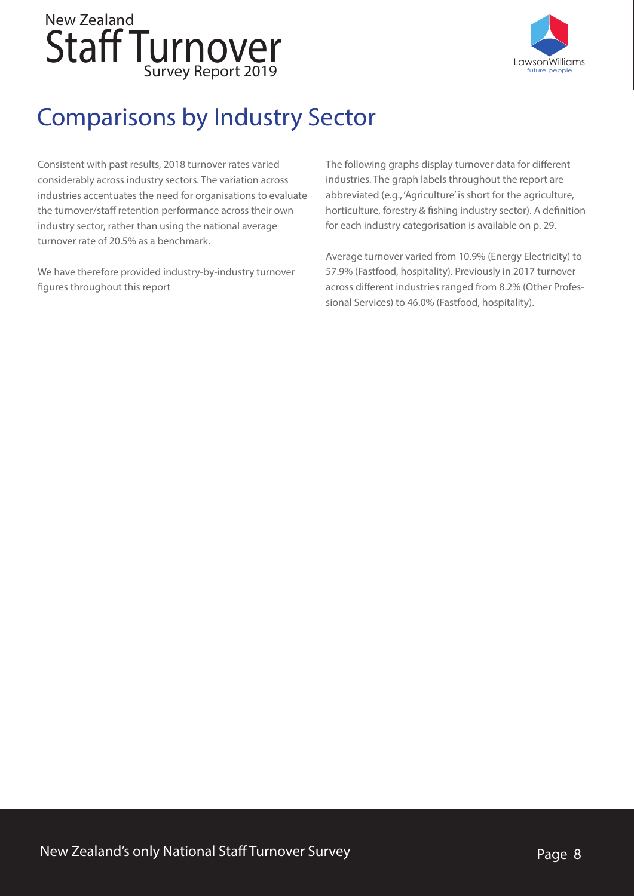



## Comparisons by Industry Sector

Consistent with past results, 2018 turnover rates varied considerably across industry sectors. The variation across industries accentuates the need for organisations to evaluate the turnover/staff retention performance across their own industry sector, rather than using the national average turnover rate of 20.5% as a benchmark.

We have therefore provided industry-by-industry turnover figures throughout this report

The following graphs display turnover data for different industries. The graph labels throughout the report are abbreviated (e.g., 'Agriculture' is short for the agriculture, horticulture, forestry & fishing industry sector). A definition for each industry categorisation is available on p. 29.

Average turnover varied from 10.9% (Energy Electricity) to 57.9% (Fastfood, hospitality). Previously in 2017 turnover across different industries ranged from 8.2% (Other Professional Services) to 46.0% (Fastfood, hospitality).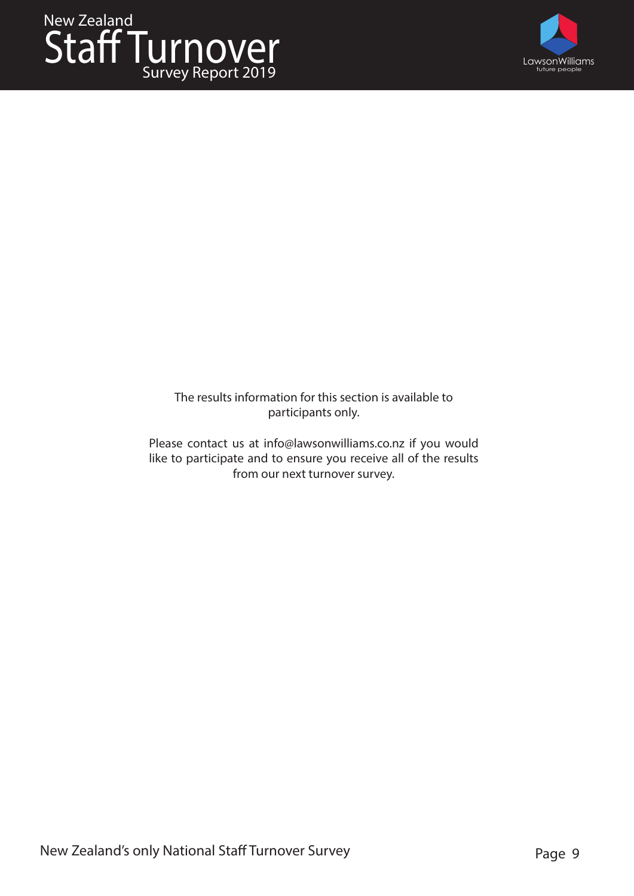

The results information for this section is available to participants only.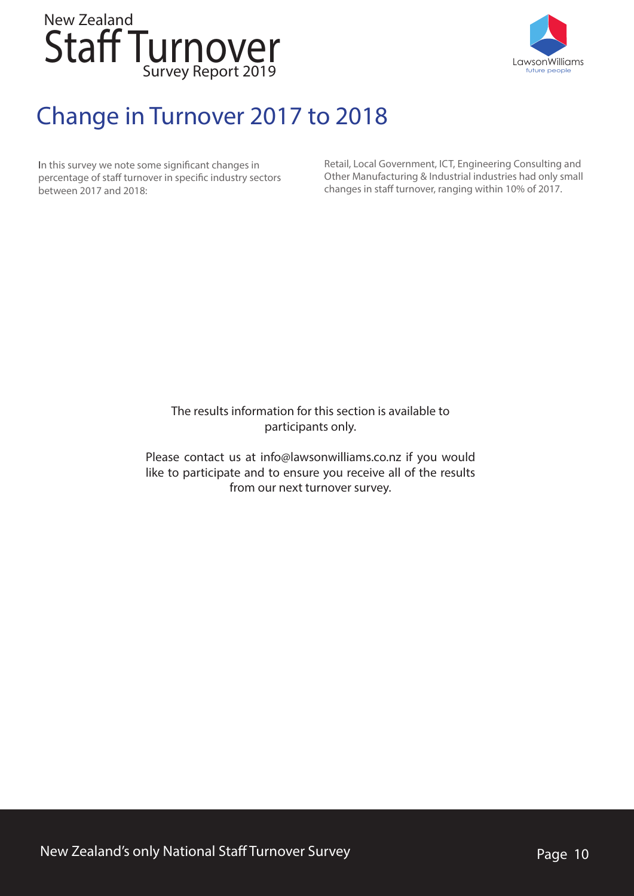



## Change in Turnover 2017 to 2018

In this survey we note some significant changes in percentage of staff turnover in specific industry sectors between 2017 and 2018:

Retail, Local Government, ICT, Engineering Consulting and Other Manufacturing & Industrial industries had only small changes in staff turnover, ranging within 10% of 2017.

The results information for this section is available to participants only.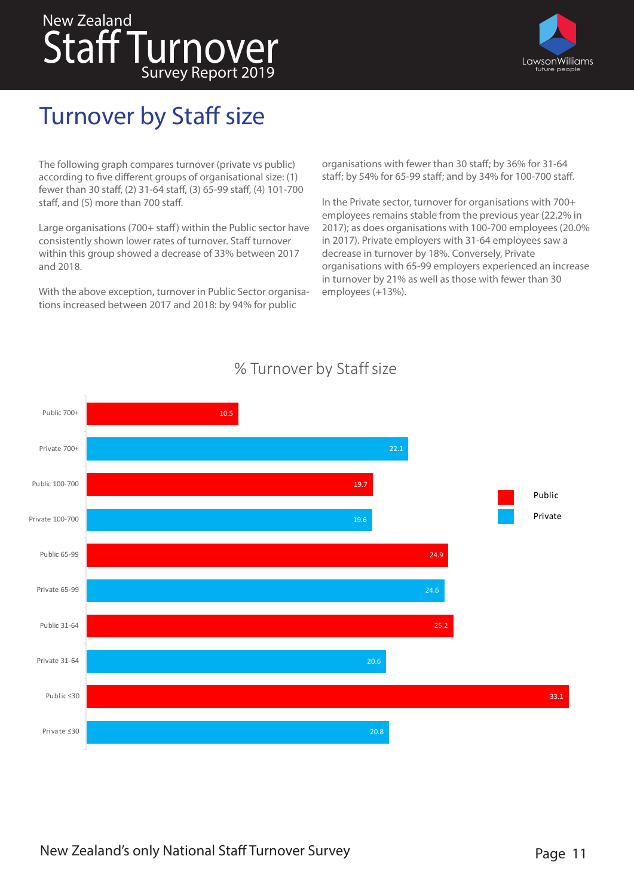

# Turnover by Staff size

The following graph compares turnover (private vs public) according to five different groups of organisational size: (1) fewer than 30 staff, (2) 31-64 staff, (3) 65-99 staff, (4) 101-700 staff, and (5) more than 700 staff.

Large organisations (700+ staff) within the Public sector have consistently shown lower rates of turnover. Staff turnover within this group showed a decrease of 33% between 2017 and 2018.

With the above exception, turnover in Public Sector organisations increased between 2017 and 2018: by 94% for public

organisations with fewer than 30 staff; by 36% for 31-64 staff; by 54% for 65-99 staff; and by 34% for 100-700 staff.

In the Private sector, turnover for organisations with 700+ employees remains stable from the previous year (22.2% in 2017); as does organisations with 100-700 employees (20.0% in 2017). Private employers with 31-64 employees saw a decrease in turnover by 18%. Conversely, Private organisations with 65-99 employers experienced an increase in turnover by 21% as well as those with fewer than 30 employees (+13%).



#### % Turnover by Staff size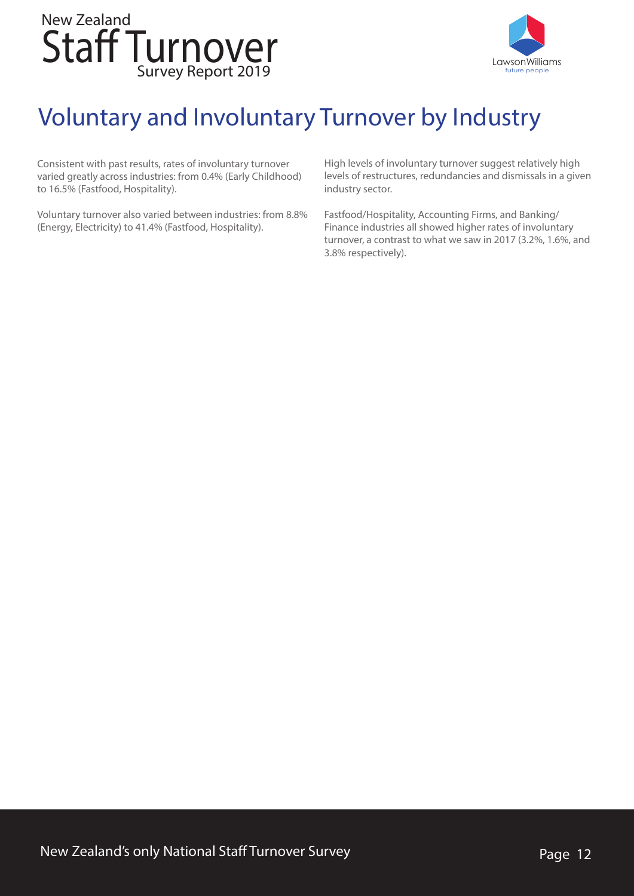



## Voluntary and Involuntary Turnover by Industry

Consistent with past results, rates of involuntary turnover varied greatly across industries: from 0.4% (Early Childhood) to 16.5% (Fastfood, Hospitality).

Voluntary turnover also varied between industries: from 8.8% (Energy, Electricity) to 41.4% (Fastfood, Hospitality).

High levels of involuntary turnover suggest relatively high levels of restructures, redundancies and dismissals in a given industry sector.

Fastfood/Hospitality, Accounting Firms, and Banking/ Finance industries all showed higher rates of involuntary turnover, a contrast to what we saw in 2017 (3.2%, 1.6%, and 3.8% respectively).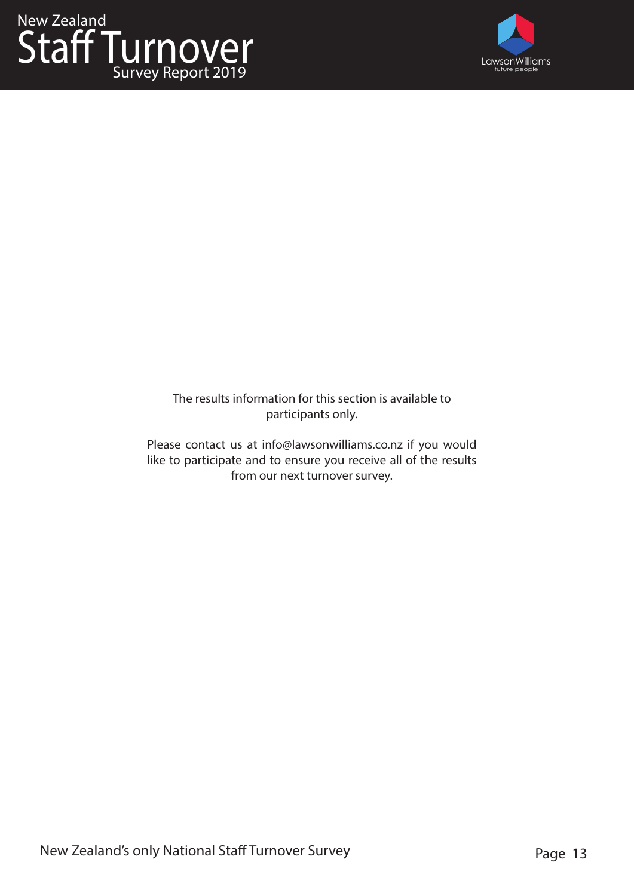#### ey Report 2019 New Zealand New Zealand taff Turnover Survey Report 2019 Staff Turnover



The results information for this section is available to participants only.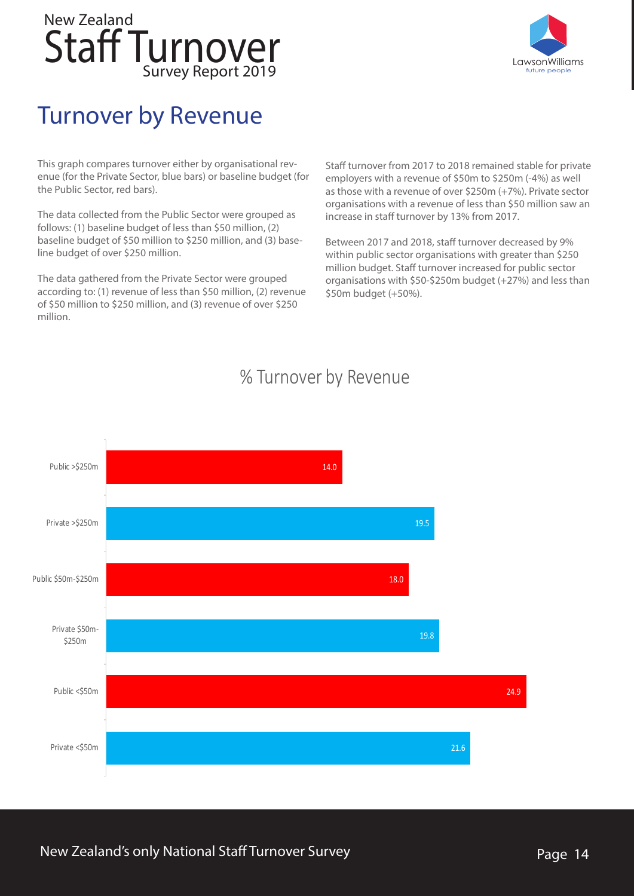



## Turnover by Revenue

This graph compares turnover either by organisational revenue (for the Private Sector, blue bars) or baseline budget (for the Public Sector, red bars).

The data collected from the Public Sector were grouped as follows: (1) baseline budget of less than \$50 million, (2) baseline budget of \$50 million to \$250 million, and (3) baseline budget of over \$250 million.

The data gathered from the Private Sector were grouped according to: (1) revenue of less than \$50 million, (2) revenue of \$50 million to \$250 million, and (3) revenue of over \$250 million.

Staff turnover from 2017 to 2018 remained stable for private employers with a revenue of \$50m to \$250m (-4%) as well as those with a revenue of over \$250m (+7%). Private sector organisations with a revenue of less than \$50 million saw an increase in staff turnover by 13% from 2017.

Between 2017 and 2018, staff turnover decreased by 9% within public sector organisations with greater than \$250 million budget. Staff turnover increased for public sector organisations with \$50-\$250m budget (+27%) and less than \$50m budget (+50%).

#### % Turnover by Revenue

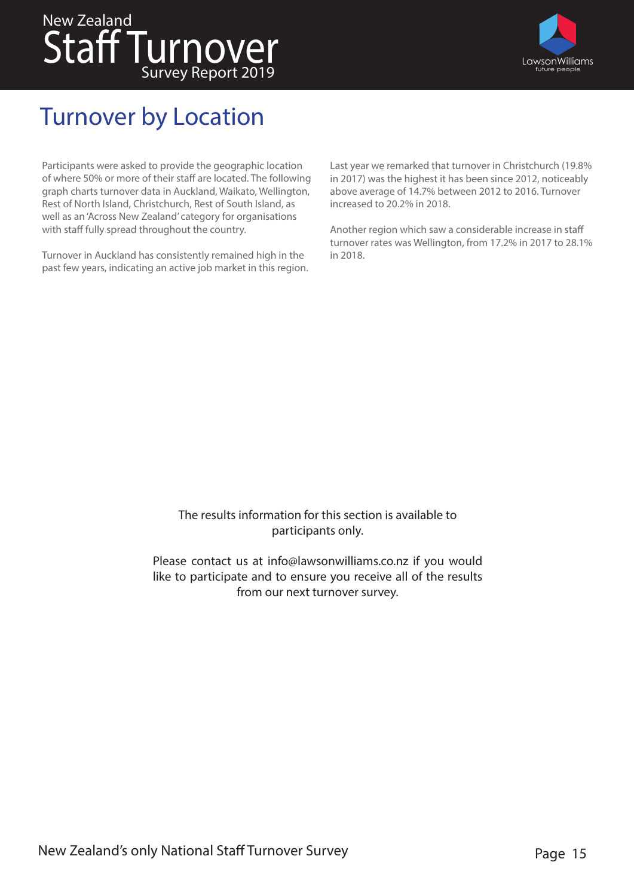

# Turnover by Location

Participants were asked to provide the geographic location of where 50% or more of their staff are located. The following graph charts turnover data in Auckland, Waikato, Wellington, Rest of North Island, Christchurch, Rest of South Island, as well as an 'Across New Zealand' category for organisations with staff fully spread throughout the country.

Turnover in Auckland has consistently remained high in the past few years, indicating an active job market in this region. Last year we remarked that turnover in Christchurch (19.8% in 2017) was the highest it has been since 2012, noticeably above average of 14.7% between 2012 to 2016. Turnover increased to 20.2% in 2018.

Another region which saw a considerable increase in staff turnover rates was Wellington, from 17.2% in 2017 to 28.1% in 2018.

The results information for this section is available to participants only.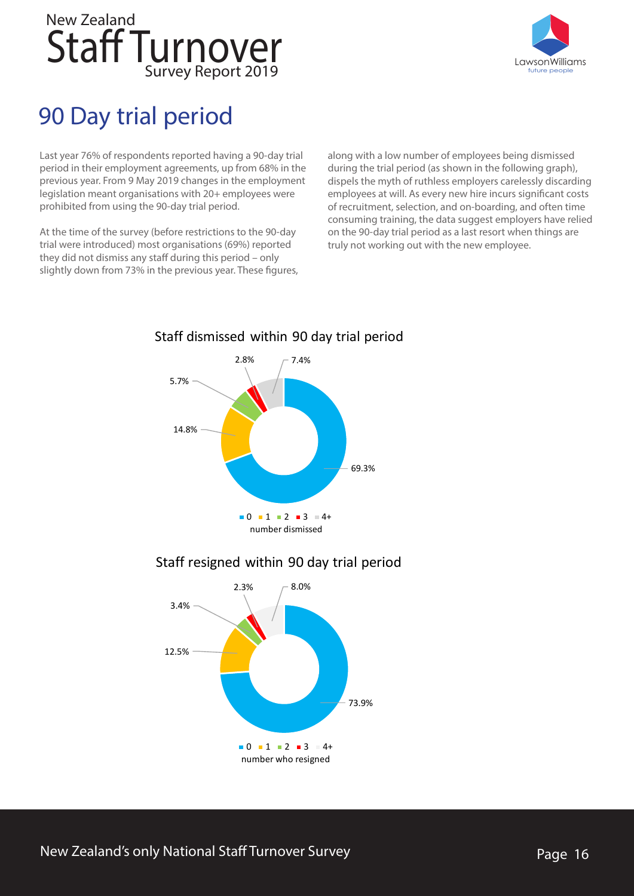



## 90 Day trial period

Last year 76% of respondents reported having a 90-day trial period in their employment agreements, up from 68% in the previous year. From 9 May 2019 changes in the employment legislation meant organisations with 20+ employees were prohibited from using the 90-day trial period.

At the time of the survey (before restrictions to the 90-day trial were introduced) most organisations (69%) reported they did not dismiss any staff during this period – only slightly down from 73% in the previous year. These figures, along with a low number of employees being dismissed during the trial period (as shown in the following graph), dispels the myth of ruthless employers carelessly discarding employees at will. As every new hire incurs significant costs of recruitment, selection, and on-boarding, and often time consuming training, the data suggest employers have relied on the 90-day trial period as a last resort when things are truly not working out with the new employee.



#### Staff dismissed within 90 day trial period



#### Staff resigned within 90 day trial period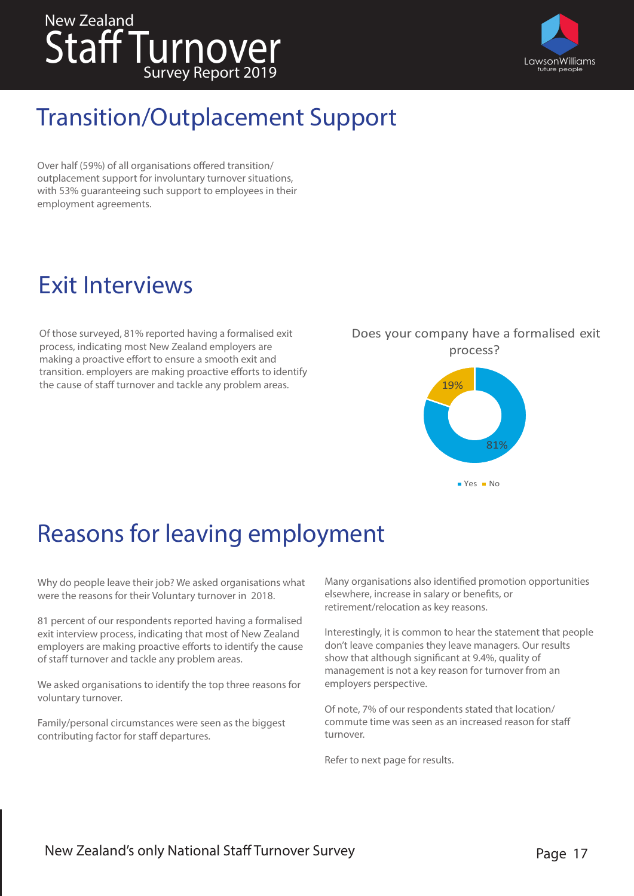

## Transition/Outplacement Support

Over half (59%) of all organisations offered transition/ outplacement support for involuntary turnover situations, with 53% guaranteeing such support to employees in their employment agreements.

## Exit Interviews

Of those surveyed, 81% reported having a formalised exit process, indicating most New Zealand employers are making a proactive effort to ensure a smooth exit and transition. employers are making proactive efforts to identify the cause of staff turnover and tackle any problem areas.

#### Does your company have a formalised exit process?



## Reasons for leaving employment

Why do people leave their job? We asked organisations what were the reasons for their Voluntary turnover in 2018.

81 percent of our respondents reported having a formalised exit interview process, indicating that most of New Zealand employers are making proactive efforts to identify the cause of staff turnover and tackle any problem areas.

We asked organisations to identify the top three reasons for voluntary turnover.

Family/personal circumstances were seen as the biggest contributing factor for staff departures.

Many organisations also identified promotion opportunities elsewhere, increase in salary or benefits, or retirement/relocation as key reasons.

Interestingly, it is common to hear the statement that people don't leave companies they leave managers. Our results show that although significant at 9.4%, quality of management is not a key reason for turnover from an employers perspective.

Of note, 7% of our respondents stated that location/ commute time was seen as an increased reason for staff turnover.

Refer to next page for results.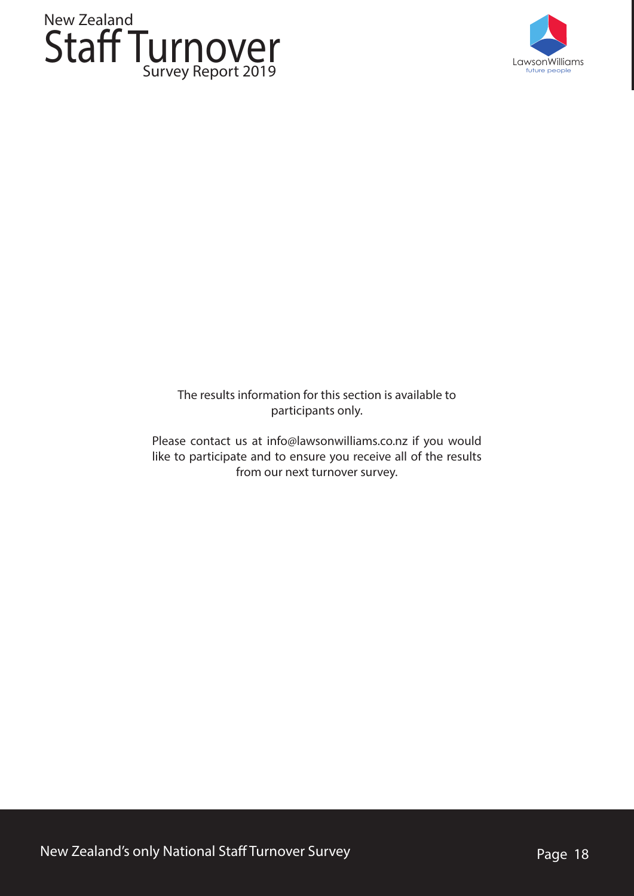



The results information for this section is available to participants only.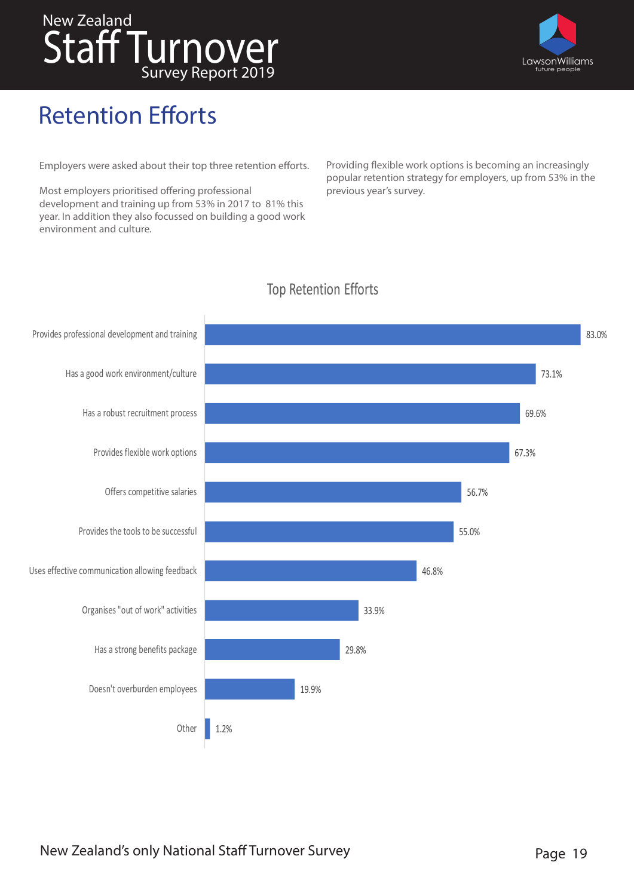

# Retention Efforts

Employers were asked about their top three retention efforts.

Most employers prioritised offering professional development and training up from 53% in 2017 to 81% this year. In addition they also focussed on building a good work environment and culture.

Providing flexible work options is becoming an increasingly popular retention strategy for employers, up from 53% in the previous year's survey.



#### Top Retention Efforts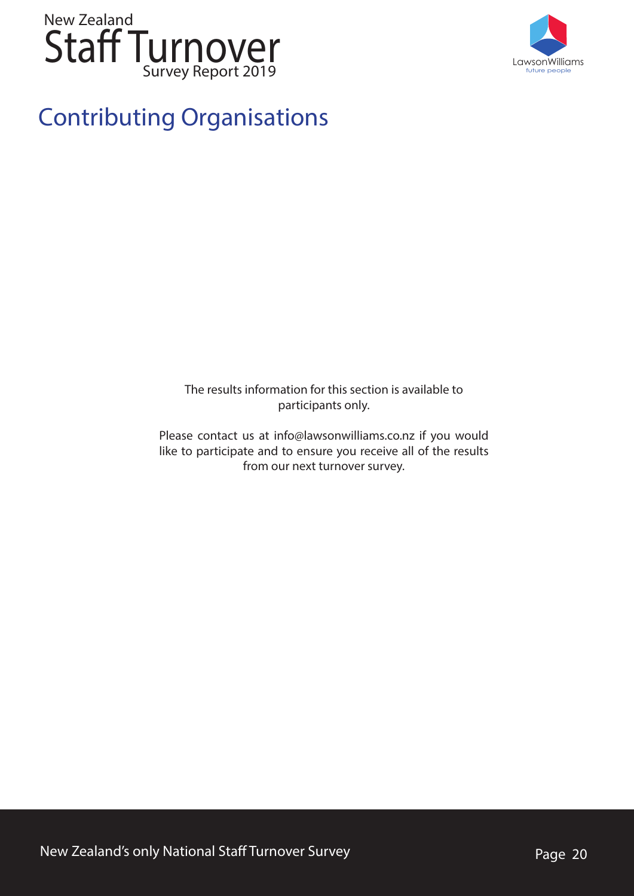



## Contributing Organisations

The results information for this section is available to participants only.